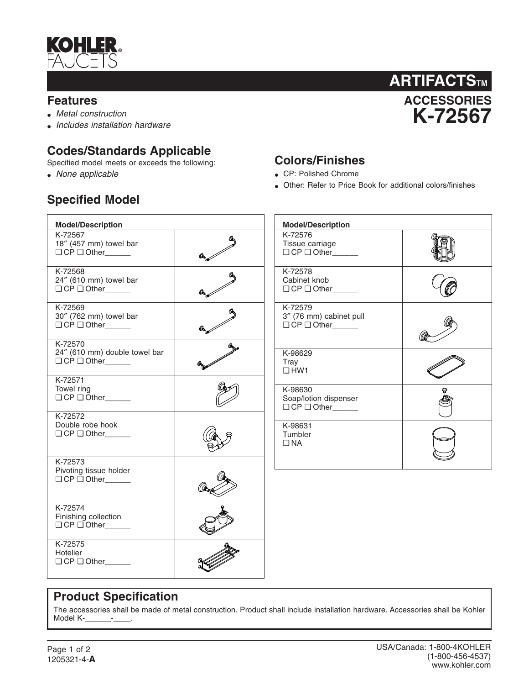

#### **Features**

- *Metal construction*
- *Includes installation hardware*

## **Codes/Standards Applicable**

Specified model meets or exceeds the following:

• *None applicable*

## **Specified Model**



### **Colors/Finishes**

- CP: Polished Chrome
- Other: Refer to Price Book for additional colors/finishes

| <b>Model/Description</b>                                    |   | <b>Model/Description</b>                                            |  |
|-------------------------------------------------------------|---|---------------------------------------------------------------------|--|
| K-72567<br>18" (457 mm) towel bar<br>$\Box$ CP $\Box$ Other |   | K-72576<br>Tissue carriage<br>O CP O Other                          |  |
| K-72568<br>24" (610 mm) towel bar<br>O CP O Other           |   | K-72578<br>Cabinet knob<br>$\Box$ CP $\Box$ Other                   |  |
| K-72569<br>30" (762 mm) towel bar<br>$\Box$ CP $\Box$ Other | a | K-72579<br>3" (76 mm) cabinet pull<br>$\Box$ CP $\Box$ Other_______ |  |
| K-72570<br>24" (610 mm) double towel bar<br>O CP O Other    |   | K-98629<br>Tray<br>$\Box$ HW1                                       |  |
| K-72571<br>Towel ring<br>$\Box$ CP $\Box$ Other             |   | K-98630<br>Soap/lotion dispenser<br>O CP O Other                    |  |
| K-72572<br>Double robe hook<br>$\Box$ CP $\Box$ Other       |   | K-98631<br>Tumbler<br>$\square$ NA                                  |  |
| K-72573<br>Pivoting tissue holder<br>$\Box$ CP $\Box$ Other |   |                                                                     |  |
| K-72574<br>Finishing collection<br>$\Box$ CP $\Box$ Other   |   |                                                                     |  |
| K-72575<br>Hotelier<br>$\Box$ CP $\Box$ Other               |   |                                                                     |  |

#### **Product Specification**

The accessories shall be made of metal construction. Product shall include installation hardware. Accessories shall be Kohler Model K-**\_\_\_\_\_\_\_**-\_\_